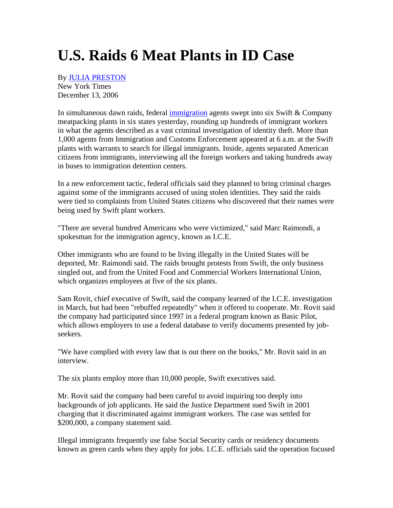## **U.S. Raids 6 Meat Plants in ID Case**

By JULIA PRESTON New York Times

December 13, 2006

In simultaneous dawn raids, federal immigration agents swept into six Swift & Company meatpacking plants in six states yesterday, rounding up hundreds of immigrant workers in what the agents described as a vast criminal investigation of identity theft. More than 1,000 agents from Immigration and Customs Enforcement appeared at 6 a.m. at the Swift plants with warrants to search for illegal immigrants. Inside, agents separated American citizens from immigrants, interviewing all the foreign workers and taking hundreds away in buses to immigration detention centers.

In a new enforcement tactic, federal officials said they planned to bring criminal charges against some of the immigrants accused of using stolen identities. They said the raids were tied to complaints from United States citizens who discovered that their names were being used by Swift plant workers.

"There are several hundred Americans who were victimized," said Marc Raimondi, a spokesman for the immigration agency, known as I.C.E.

Other immigrants who are found to be living illegally in the United States will be deported, Mr. Raimondi said. The raids brought protests from Swift, the only business singled out, and from the United Food and Commercial Workers International Union, which organizes employees at five of the six plants.

Sam Rovit, chief executive of Swift, said the company learned of the I.C.E. investigation in March, but had been "rebuffed repeatedly" when it offered to cooperate. Mr. Rovit said the company had participated since 1997 in a federal program known as Basic Pilot, which allows employers to use a federal database to verify documents presented by jobseekers.

"We have complied with every law that is out there on the books," Mr. Rovit said in an interview.

The six plants employ more than 10,000 people, Swift executives said.

Mr. Rovit said the company had been careful to avoid inquiring too deeply into backgrounds of job applicants. He said the Justice Department sued Swift in 2001 charging that it discriminated against immigrant workers. The case was settled for \$200,000, a company statement said.

Illegal immigrants frequently use false Social Security cards or residency documents known as green cards when they apply for jobs. I.C.E. officials said the operation focused